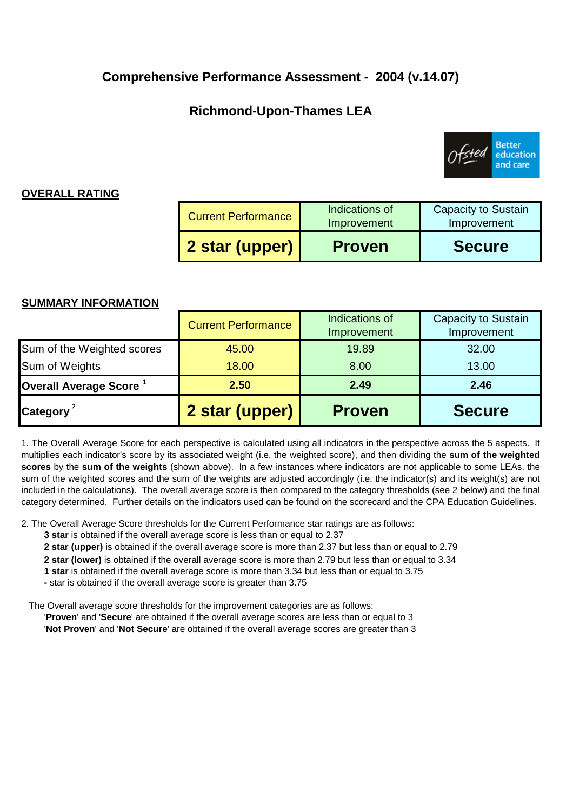## **Comprehensive Performance Assessment - 2004 (v.14.07)**

# **Richmond-Upon-Thames LEA**



## **OVERALL RATING**

| 2 star (upper)             | <b>Proven</b>                 | Improvement<br><b>Secure</b> |  |
|----------------------------|-------------------------------|------------------------------|--|
| <b>Current Performance</b> | Indications of<br>Improvement | <b>Capacity to Sustain</b>   |  |

### **SUMMARY INFORMATION**

| Category <sup>2</sup>              | 2 star (upper)             | <b>Proven</b>                 | <b>Secure</b>                      |
|------------------------------------|----------------------------|-------------------------------|------------------------------------|
| Overall Average Score <sup>1</sup> | 2.50                       | 2.49                          | 2.46                               |
| Sum of Weights                     | 18.00                      | 8.00                          | 13.00                              |
| Sum of the Weighted scores         | 45.00                      | 19.89                         | 32.00                              |
|                                    | <b>Current Performance</b> | Indications of<br>Improvement | Capacity to Sustain<br>Improvement |

1. The Overall Average Score for each perspective is calculated using all indicators in the perspective across the 5 aspects. It multiplies each indicator's score by its associated weight (i.e. the weighted score), and then dividing the **sum of the weighted scores** by the **sum of the weights** (shown above). In a few instances where indicators are not applicable to some LEAs, the sum of the weighted scores and the sum of the weights are adjusted accordingly (i.e. the indicator(s) and its weight(s) are not included in the calculations). The overall average score is then compared to the category thresholds (see 2 below) and the final category determined. Further details on the indicators used can be found on the scorecard and the CPA Education Guidelines.

2. The Overall Average Score thresholds for the Current Performance star ratings are as follows:

- **3 star** is obtained if the overall average score is less than or equal to 2.37
- **2 star (upper)** is obtained if the overall average score is more than 2.37 but less than or equal to 2.79
- **2 star (lower)** is obtained if the overall average score is more than 2.79 but less than or equal to 3.34
- **1 star** is obtained if the overall average score is more than 3.34 but less than or equal to 3.75
- **-** star is obtained if the overall average score is greater than 3.75

The Overall average score thresholds for the improvement categories are as follows:

'**Proven**' and '**Secure**' are obtained if the overall average scores are less than or equal to 3 '**Not Proven**' and '**Not Secure**' are obtained if the overall average scores are greater than 3